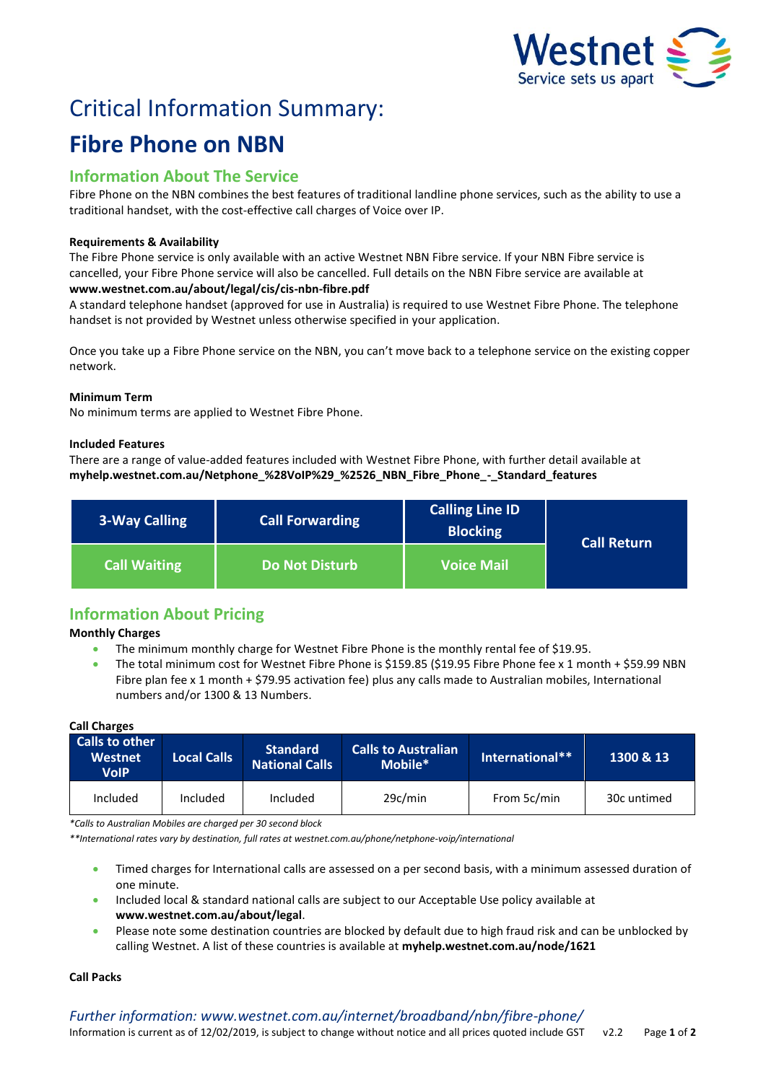

# Critical Information Summary: **Fibre Phone on NBN**

# **Information About The Service**

Fibre Phone on the NBN combines the best features of traditional landline phone services, such as the ability to use a traditional handset, with the cost-effective call charges of Voice over IP.

# **Requirements & Availability**

The Fibre Phone service is only available with an active Westnet NBN Fibre service. If your NBN Fibre service is cancelled, your Fibre Phone service will also be cancelled. Full details on the NBN Fibre service are available at **www.westnet.com.au/about/legal/cis/cis-nbn-fibre.pdf**

A standard telephone handset (approved for use in Australia) is required to use Westnet Fibre Phone. The telephone handset is not provided by Westnet unless otherwise specified in your application.

Once you take up a Fibre Phone service on the NBN, you can't move back to a telephone service on the existing copper network.

# **Minimum Term**

No minimum terms are applied to Westnet Fibre Phone.

# **Included Features**

There are a range of value-added features included with Westnet Fibre Phone, with further detail available at **myhelp.westnet.com.au/Netphone\_%28VoIP%29\_%2526\_NBN\_Fibre\_Phone\_-\_Standard\_features**

| 3-Way Calling       | <b>Call Forwarding</b> | <b>Calling Line ID</b><br><b>Blocking</b> | <b>Call Return</b> |  |
|---------------------|------------------------|-------------------------------------------|--------------------|--|
| <b>Call Waiting</b> | <b>Do Not Disturb</b>  | <b>Voice Mail</b>                         |                    |  |

# **Information About Pricing**

**Monthly Charges**

- The minimum monthly charge for Westnet Fibre Phone is the monthly rental fee of \$19.95.
- The total minimum cost for Westnet Fibre Phone is \$159.85 (\$19.95 Fibre Phone fee x 1 month + \$59.99 NBN Fibre plan fee x 1 month + \$79.95 activation fee) plus any calls made to Australian mobiles, International numbers and/or 1300 & 13 Numbers.

# **Call Charges**

| Calls to other<br><b>Westnet</b><br><b>VolP</b> | <b>Local Calls</b> | <b>Standard</b><br>National Calls | <b>Calls to Australian</b><br>Mobile* | International** | 1300 & 13   |
|-------------------------------------------------|--------------------|-----------------------------------|---------------------------------------|-----------------|-------------|
| Included                                        | <b>Included</b>    | Included                          | 29c/min                               | From 5c/min     | 30c untimed |

*\*Calls to Australian Mobiles are charged per 30 second block*

*\*\*International rates vary by destination, full rates at westnet.com.au/phone/netphone-voip/international*

- Timed charges for International calls are assessed on a per second basis, with a minimum assessed duration of one minute.
- Included local & standard national calls are subject to our Acceptable Use policy available at **www.westnet.com.au/about/legal**.
- Please note some destination countries are blocked by default due to high fraud risk and can be unblocked by calling Westnet. A list of these countries is available at **myhelp.westnet.com.au/node/1621**

## **Call Packs**